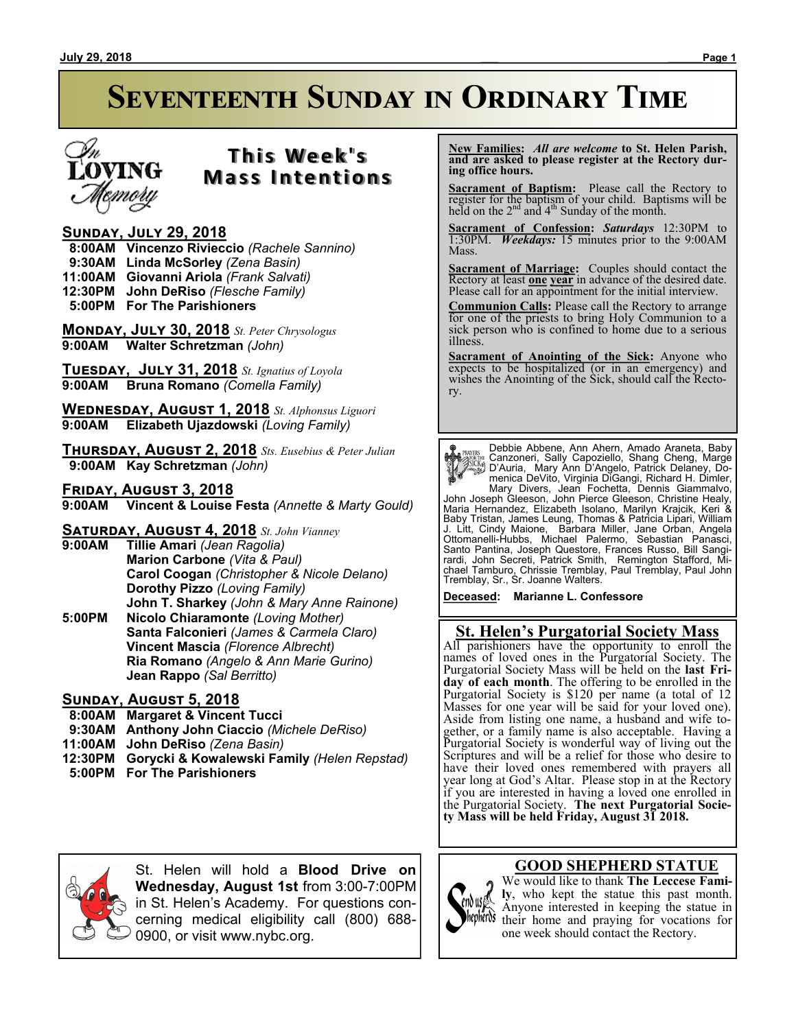# **Seventeenth Sunday in Ordinary Time**



# **T h i s We e k ' s Mass Intentions**

### **Sunday, July 29, 2018**

 **8:00AM Vincenzo Rivieccio** *(Rachele Sannino)*

- **9:30AM Linda McSorley** *(Zena Basin)*
- **11:00AM Giovanni Ariola** *(Frank Salvati)*
- **12:30PM John DeRiso** *(Flesche Family)*
- **5:00PM For The Parishioners**

**Monday, July 30, 2018** *St. Peter Chrysologus* **9:00AM Walter Schretzman** *(John)*

**Tuesday, July 31, 2018** *St. Ignatius of Loyola* **9:00AM Bruna Romano** *(Comella Family)*

**Wednesday, August 1, 2018** *St. Alphonsus Liguori* **9:00AM Elizabeth Ujazdowski** *(Loving Family)*

**Thursday, August 2, 2018** *Sts. Eusebius & Peter Julian*  **9:00AM Kay Schretzman** *(John)*

**Friday, August 3, 2018 9:00AM Vincent & Louise Festa** *(Annette & Marty Gould)*

**Saturday, August 4, 2018** *St. John Vianney*

**9:00AM Tillie Amari** *(Jean Ragolia)* **Marion Carbone** *(Vita & Paul)* **Carol Coogan** *(Christopher & Nicole Delano)* **Dorothy Pizzo** *(Loving Family)* **John T. Sharkey** *(John & Mary Anne Rainone)* **5:00PM Nicolo Chiaramonte** *(Loving Mother)* **Santa Falconieri** *(James & Carmela Claro)* **Vincent Mascia** *(Florence Albrecht)* **Ria Romano** *(Angelo & Ann Marie Gurino)* **Jean Rappo** *(Sal Berritto)*

#### **Sunday, August 5, 2018**

- **8:00AM Margaret & Vincent Tucci**
- **9:30AM Anthony John Ciaccio** *(Michele DeRiso)*
- **11:00AM John DeRiso** *(Zena Basin)*
- **12:30PM Gorycki & Kowalewski Family** *(Helen Repstad)*
- **5:00PM For The Parishioners**

 **New Families:** *All are welcome* **to St. Helen Parish, and are asked to please register at the Rectory during office hours.**

**Sacrament of Baptism:**Please call the Rectory to register for the baptism of your child. Baptisms will be held on the  $2<sup>nd</sup>$  and  $4<sup>th</sup>$  Sunday of the month.

**Sacrament of Confession:** *Saturdays* 12:30PM to 1:30PM. *Weekdays:* 15 minutes prior to the 9:00AM Mass.

**Sacrament of Marriage:**Couples should contact the Rectory at least **one year** in advance of the desired date. Please call for an appointment for the initial interview.

**Communion Calls:** Please call the Rectory to arrange for one of the priests to bring Holy Communion to a sick person who is confined to home due to a serious illness.

**Sacrament of Anointing of the Sick:** Anyone who expects to be hospitalized (or in an emergency) and wishes the Anointing of the Sick, should call the Rectory.

**Payris:** Debbie Abbene, Ann Ahern, Amado Araneta, Baby<br>
Canzoneri, Sally Capzziello, Shang Cheng, Marge<br>
Canzoneri, Sally Capzziello, Shang Cheng, Marge<br>
Canzoneri, Sally Capacillo, Patrick Delaney, Do-<br>
menica DeVito, Vi

**Deceased: Marianne L. Confessore**

## **St. Helen's Purgatorial Society Mass**

All parishioners have the opportunity to enroll the names of loved ones in the Purgatorial Society. The Purgatorial Society Mass will be held on the **last Friday of each month**. The offering to be enrolled in the Purgatorial Society is \$120 per name (a total of 12 Masses for one year will be said for your loved one). Aside from listing one name, a husband and wife together, or a family name is also acceptable. Having a Purgatorial Society is wonderful way of living out the Scriptures and will be a relief for those who desire to have their loved ones remembered with prayers all year long at God's Altar. Please stop in at the Rectory if you are interested in having a loved one enrolled in the Purgatorial Society. **The next Purgatorial Society Mass will be held Friday, August 31 2018.**



St. Helen will hold a **Blood Drive on Wednesday, August 1st** from 3:00-7:00PM in St. Helen's Academy. For questions concerning medical eligibility call (800) 688- 0900, or visit www.nybc.org.

#### **GOOD SHEPHERD STATUE**



We would like to thank **The Leccese Family**, who kept the statue this past month. Anyone interested in keeping the statue in thepheror their home and praying for vocations for one week should contact the Rectory.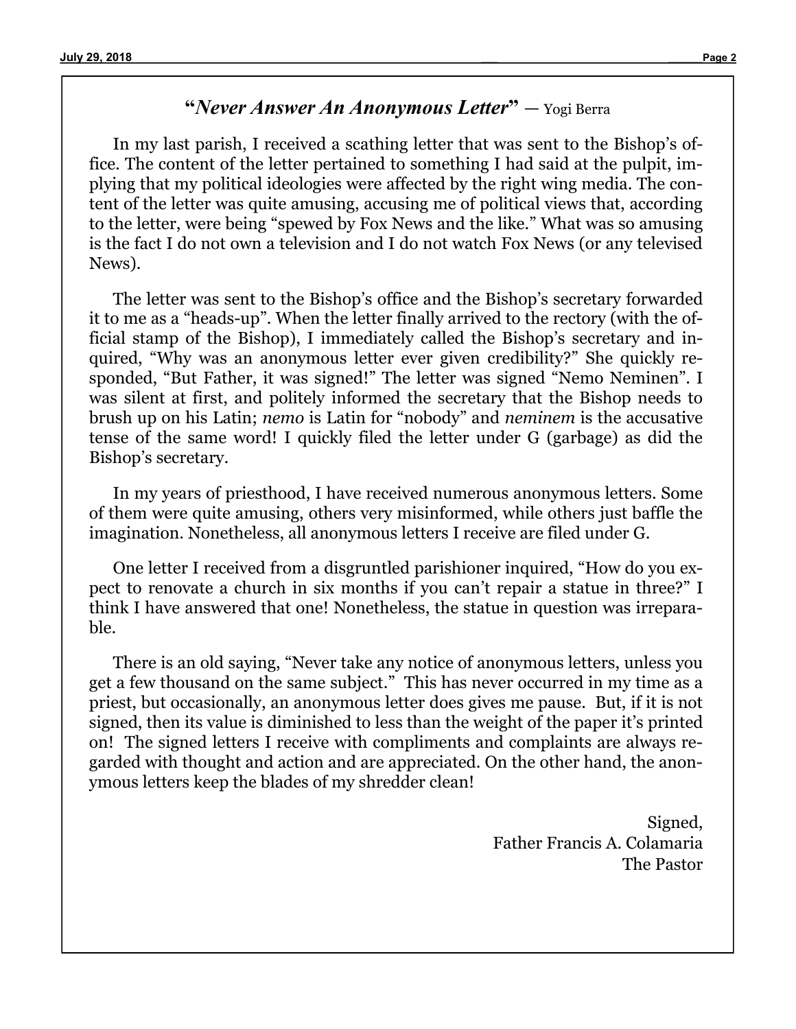# **"***Never Answer An Anonymous Letter***"** — Yogi Berra

In my last parish, I received a scathing letter that was sent to the Bishop's office. The content of the letter pertained to something I had said at the pulpit, implying that my political ideologies were affected by the right wing media. The content of the letter was quite amusing, accusing me of political views that, according to the letter, were being "spewed by Fox News and the like." What was so amusing is the fact I do not own a television and I do not watch Fox News (or any televised News).

The letter was sent to the Bishop's office and the Bishop's secretary forwarded it to me as a "heads-up". When the letter finally arrived to the rectory (with the official stamp of the Bishop), I immediately called the Bishop's secretary and inquired, "Why was an anonymous letter ever given credibility?" She quickly responded, "But Father, it was signed!" The letter was signed "Nemo Neminen". I was silent at first, and politely informed the secretary that the Bishop needs to brush up on his Latin; *nemo* is Latin for "nobody" and *neminem* is the accusative tense of the same word! I quickly filed the letter under G (garbage) as did the Bishop's secretary.

In my years of priesthood, I have received numerous anonymous letters. Some of them were quite amusing, others very misinformed, while others just baffle the imagination. Nonetheless, all anonymous letters I receive are filed under G.

One letter I received from a disgruntled parishioner inquired, "How do you expect to renovate a church in six months if you can't repair a statue in three?" I think I have answered that one! Nonetheless, the statue in question was irreparable.

There is an old saying, "Never take any notice of anonymous letters, unless you get a few thousand on the same subject." This has never occurred in my time as a priest, but occasionally, an anonymous letter does gives me pause. But, if it is not signed, then its value is diminished to less than the weight of the paper it's printed on! The signed letters I receive with compliments and complaints are always regarded with thought and action and are appreciated. On the other hand, the anonymous letters keep the blades of my shredder clean!

> Signed, Father Francis A. Colamaria The Pastor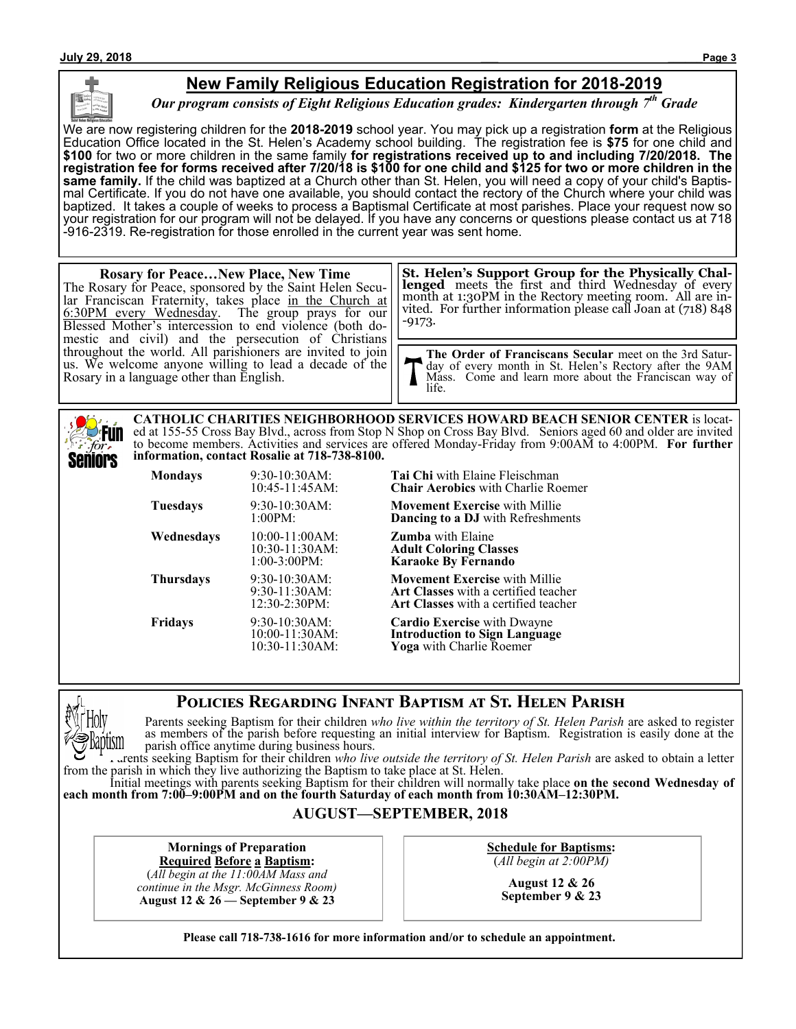

# **New Family Religious Education Registration for 2018-2019**

*Our program consists of Eight Religious Education grades: Kindergarten through 7th Grade*

We are now registering children for the **2018-2019** school year. You may pick up a registration **form** at the Religious Education Office located in the St. Helen's Academy school building. The registration fee is **\$75** for one child and **\$100** for two or more children in the same family **for registrations received up to and including 7/20/2018. The registration fee for forms received after 7/20/18 is \$100 for one child and \$125 for two or more children in the same family.** If the child was baptized at a Church other than St. Helen, you will need a copy of your child's Baptismal Certificate. If you do not have one available, you should contact the rectory of the Church where your child was baptized. It takes a couple of weeks to process a Baptismal Certificate at most parishes. Place your request now so your registration for our program will not be delayed. If you have any concerns or questions please contact us at 718 -916-2319. Re-registration for those enrolled in the current year was sent home.

#### **Rosary for Peace…New Place, New Time** The Rosary for Peace, sponsored by the Saint Helen Secular Franciscan Fraternity, takes place in the Church at 6:30PM every Wednesday. The group prays for our Blessed Mother's intercession to end violence (both domestic and civil) and the persecution of Christians throughout the world. All parishioners are invited to join us. We welcome anyone willing to lead a decade of the Rosary in a language other than English. -9173.

**St. Helen's Support Group for the Physically Challenged** meets the first and third Wednesday of every month at 1:30PM in the Rectory meeting room. All are invited. For further information please call Joan at (718) 848

**The Order of Franciscans Secular** meet on the 3rd Saturday of every month in St. Helen's Rectory after the 9AM Mass. Come and learn more about the Franciscan way of life.

**CATHOLIC CHARITIES NEIGHBORHOOD SERVICES HOWARD BEACH SENIOR CENTER** is located at 155-55 Cross Bay Blvd., across from Stop N Shop on Cross Bay Blvd. Seniors aged 60 and older are invited **Fun** to become members. Activities and services are offered Monday-Friday from 9:00AM to 4:00PM. **For further**  for. **information, contact Rosalie at 718-738-8100.** Seniors

| <b>Mondays</b>   | 9:30-10:30AM:<br>10:45-11:45AM:                            | <b>Tai Chi</b> with Elaine Fleischman<br><b>Chair Aerobics</b> with Charlie Ro                                        |
|------------------|------------------------------------------------------------|-----------------------------------------------------------------------------------------------------------------------|
| <b>Tuesdays</b>  | $9:30-10:30AM$ :<br>1:00PM:                                | <b>Movement Exercise with Millie</b><br>Dancing to a DJ with Refreshm                                                 |
| Wednesdays       | $10:00-11:00AM$ :<br>$10:30-11:30AM$ :<br>$1:00-3:00PM$ :  | <b>Zumba</b> with Elaine<br><b>Adult Coloring Classes</b><br><b>Karaoke By Fernando</b>                               |
| <b>Thursdays</b> | $9:30-10:30AM$ :<br>9:30-11:30AM:<br>12:30-2:30PM:         | <b>Movement Exercise with Millie</b><br><b>Art Classes</b> with a certified teac<br>Art Classes with a certified teac |
| <b>Fridays</b>   | $9:30-10:30AM$ :<br>$10:00-11:30AM$ :<br>$10:30-11:30AM$ : | <b>Cardio Exercise</b> with Dwayne<br><b>Introduction to Sign Language</b><br>Yoga with Charlie Roemer                |

air Aerobics with Charlie Roemer

**Tuesday 9:30-10:30-20:30-20:30-20:30-20:30-20:30-20:30** ncing to a DJ with Refreshments

**The Viewment Exercise** with Millie Classes with a certified teacher **Classes** with a certified teacher

# **Policies Regarding Infant Baptism at St. Helen Parish**



Parents seeking Baptism for their children *who live within the territory of St. Helen Parish* are asked to register as members of the parish before requesting an initial interview for Baptism. Registration is easily done at the parish office anytime during business hours.

Parents seeking Baptism for their children *who live outside the territory of St. Helen Parish* are asked to obtain a letter from the parish in which they live authorizing the Baptism to take place at St. Helen.

Initial meetings with parents seeking Baptism for their children will normally take place **on the second Wednesday of each month from 7:00–9:00PM and on the fourth Saturday of each month from 10:30AM–12:30PM.**

## **AUGUST—SEPTEMBER, 2018**

**Mornings of Preparation Required Before a Baptism:**

(*All begin at the 11:00AM Mass and continue in the Msgr. McGinness Room)* **August 12 & 26 — September 9 & 23**

**Schedule for Baptisms:** (*All begin at 2:00PM)*

> **August 12 & 26 September 9 & 23**

**Please call 718-738-1616 for more information and/or to schedule an appointment.**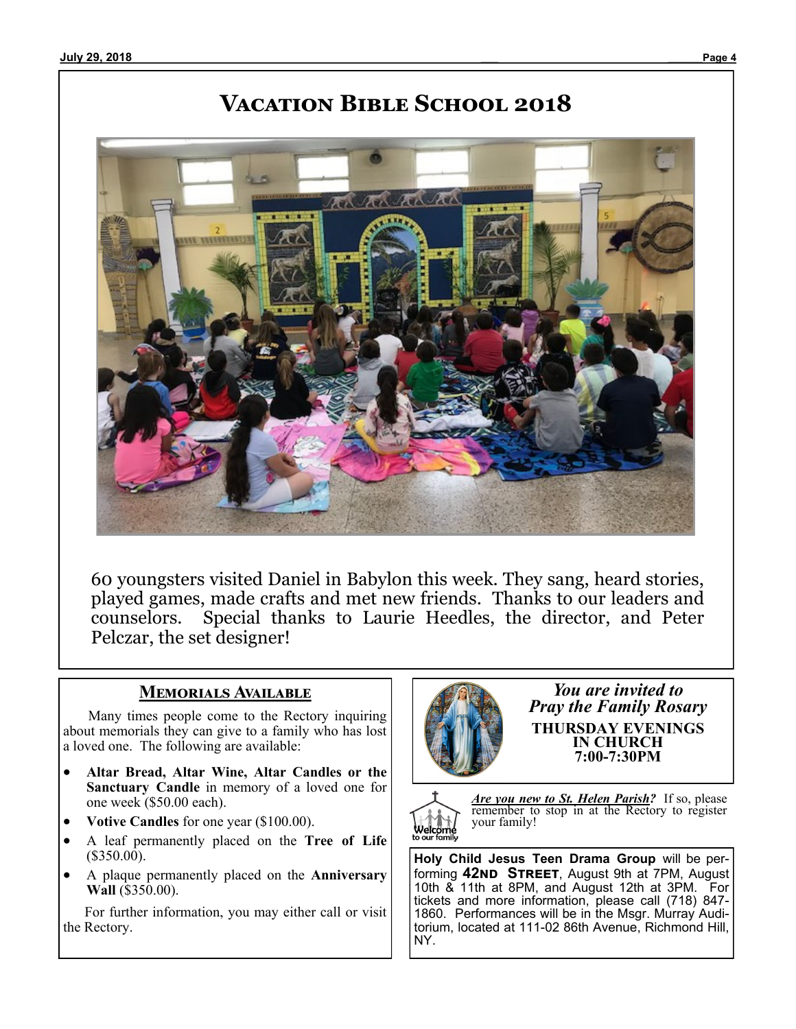# **Vacation Bible School 2018**



60 youngsters visited Daniel in Babylon this week. They sang, heard stories, played games, made crafts and met new friends. Thanks to our leaders and counselors. Special thanks to Laurie Heedles, the director, and Peter Pelczar, the set designer!

## **Memorials Available**

 Many times people come to the Rectory inquiring about memorials they can give to a family who has lost a loved one. The following are available:

- **Altar Bread, Altar Wine, Altar Candles or the Sanctuary Candle** in memory of a loved one for one week (\$50.00 each).
- **Votive Candles** for one year (\$100.00).
- A leaf permanently placed on the **Tree of Life**  (\$350.00).
- A plaque permanently placed on the **Anniversary Wall** (\$350.00).

 For further information, you may either call or visit the Rectory.



*You are invited to Pray the Family Rosary* **THURSDAY EVENINGS IN CHURCH 7:00-7:30PM**



*Are you new to St. Helen Parish?* If so, please remember to stop in at the Rectory to register your family!

**Holy Child Jesus Teen Drama Group** will be performing **42nd Street**, August 9th at 7PM, August 10th & 11th at 8PM, and August 12th at 3PM. For tickets and more information, please call (718) 847- 1860. Performances will be in the Msgr. Murray Auditorium, located at 111-02 86th Avenue, Richmond Hill, NY.